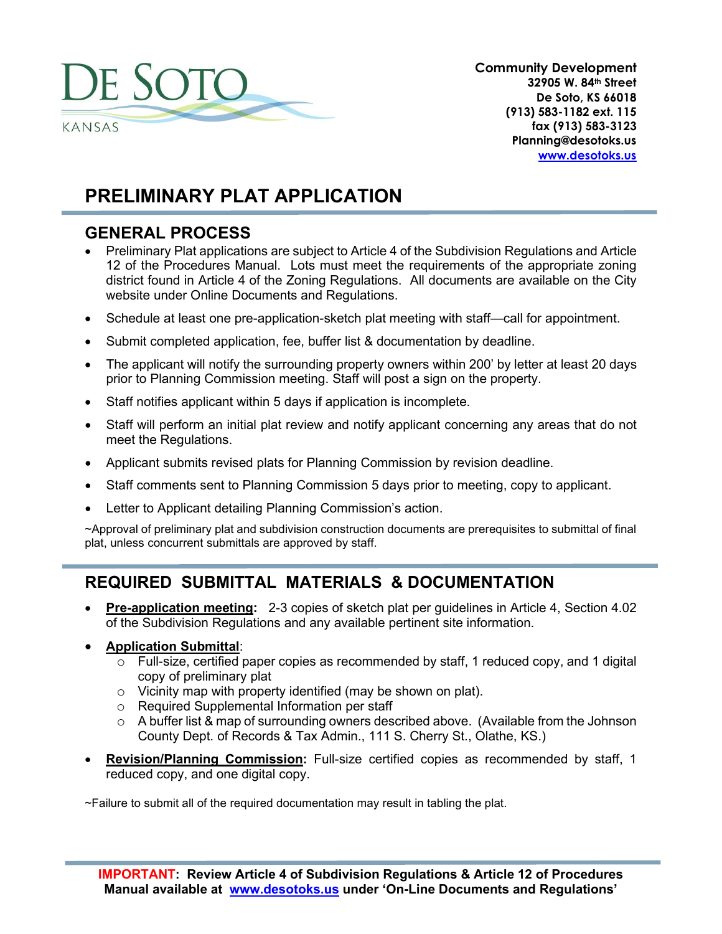

**Community Development 32905 W. 84th Street De Soto, KS 66018 (913) 583-1182 ext. 115 fax (913) 583-3123 Planning@desotoks.us [www.desotoks.us](http://www.desotoks.us/)**

# **PRELIMINARY PLAT APPLICATION**

## **GENERAL PROCESS**

- Preliminary Plat applications are subject to Article 4 of the Subdivision Regulations and Article 12 of the Procedures Manual. Lots must meet the requirements of the appropriate zoning district found in Article 4 of the Zoning Regulations. All documents are available on the City website under Online Documents and Regulations.
- Schedule at least one pre-application-sketch plat meeting with staff—call for appointment.
- Submit completed application, fee, buffer list & documentation by deadline.
- The applicant will notify the surrounding property owners within 200' by letter at least 20 days prior to Planning Commission meeting. Staff will post a sign on the property.
- Staff notifies applicant within 5 days if application is incomplete.
- Staff will perform an initial plat review and notify applicant concerning any areas that do not meet the Regulations.
- Applicant submits revised plats for Planning Commission by revision deadline.
- Staff comments sent to Planning Commission 5 days prior to meeting, copy to applicant.
- Letter to Applicant detailing Planning Commission's action.

~Approval of preliminary plat and subdivision construction documents are prerequisites to submittal of final plat, unless concurrent submittals are approved by staff.

## **REQUIRED SUBMITTAL MATERIALS & DOCUMENTATION**

• **Pre-application meeting:** 2-3 copies of sketch plat per guidelines in Article 4, Section 4.02 of the Subdivision Regulations and any available pertinent site information.

#### • **Application Submittal**:

- o Full-size, certified paper copies as recommended by staff, 1 reduced copy, and 1 digital copy of preliminary plat
- o Vicinity map with property identified (may be shown on plat).
- o Required Supplemental Information per staff
- o A buffer list & map of surrounding owners described above. (Available from the Johnson County Dept. of Records & Tax Admin., 111 S. Cherry St., Olathe, KS.)
- **Revision/Planning Commission:** Full-size certified copies as recommended by staff, 1 reduced copy, and one digital copy.

~Failure to submit all of the required documentation may result in tabling the plat.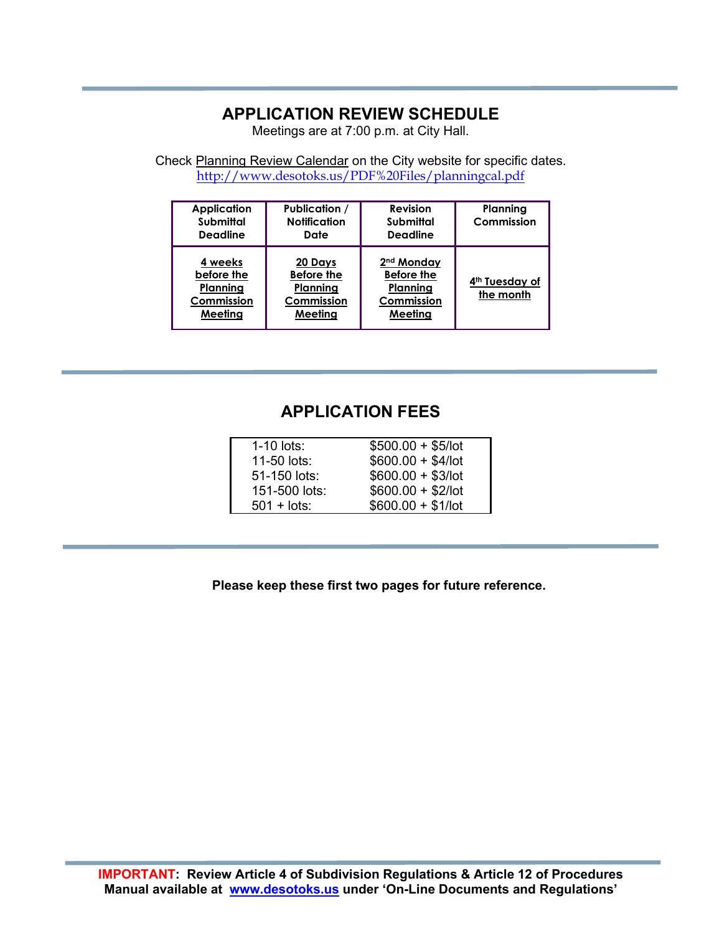### **APPLICATION REVIEW SCHEDULE**

Meetings are at 7:00 p.m. at City Hall.

Check Planning Review Calendar on the City website for specific dates. <http://www.desotoks.us/PDF%20Files/planningcal.pdf>

| <b>Application</b><br>Submittal<br><b>Deadline</b>         | Publication /<br><b>Notification</b><br>Date                      | <b>Revision</b><br><b>Submittal</b><br><b>Deadline</b>                           | Planning<br>Commission                  |
|------------------------------------------------------------|-------------------------------------------------------------------|----------------------------------------------------------------------------------|-----------------------------------------|
| 4 weeks<br>before the<br>Planning<br>Commission<br>Meeting | 20 Days<br><b>Before the</b><br>Planning<br>Commission<br>Meeting | 2 <sup>nd</sup> Monday<br><b>Before the</b><br>Planning<br>Commission<br>Meeting | 4 <sup>th</sup> Tuesday of<br>the month |

## **APPLICATION FEES**

| $$500.00 + $5/$ lot |
|---------------------|
| $$600.00 + $4/lot$  |
| $$600.00 + $3/$ lot |
| $$600.00 + $2$ /lot |
| $$600.00 + $1/lot$  |
|                     |

**Please keep these first two pages for future reference.**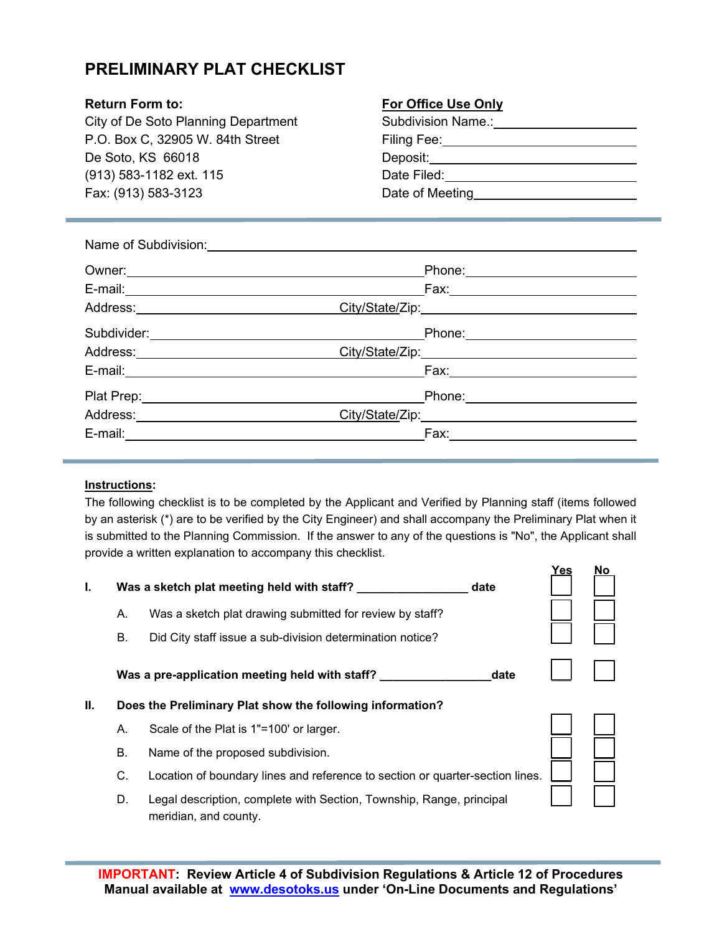## **PRELIMINARY PLAT CHECKLIST**

City of De Soto Planning Department P.O. Box C, 32905 W. 84th Street De Soto, KS 66018 (913) 583-1182 ext. 115 Date Filed: Fax: (913) 583-3123 Date of Meeting

#### **Return Form to: For Office Use Only**

| Subdivision Name.∶ |  |
|--------------------|--|
| Filing Fee:        |  |
| Deposit:           |  |
| –                  |  |

|                                       | Fax:_____________________________ |
|---------------------------------------|-----------------------------------|
| Address: ____________________________ |                                   |
|                                       |                                   |
| Address:_____________________________ |                                   |
| E-mail: __________________            | Fax:______________                |
|                                       | Phone: <u>______________</u>      |
| Address:____________________________  |                                   |
|                                       | Fax: __________________________   |

#### **Instructions:**

The following checklist is to be completed by the Applicant and Verified by Planning staff (items followed by an asterisk (\*) are to be verified by the City Engineer) and shall accompany the Preliminary Plat when it is submitted to the Planning Commission. If the answer to any of the questions is "No", the Applicant shall provide a written explanation to accompany this checklist.

| ı. |    | Was a sketch plat meeting held with staff?                                                    | date | <u>Yes</u> | No |
|----|----|-----------------------------------------------------------------------------------------------|------|------------|----|
|    | А. | Was a sketch plat drawing submitted for review by staff?                                      |      |            |    |
|    | В. | Did City staff issue a sub-division determination notice?                                     |      |            |    |
|    |    | Was a pre-application meeting held with staff?                                                | date |            |    |
| Ш. |    | Does the Preliminary Plat show the following information?                                     |      |            |    |
|    | А. | Scale of the Plat is 1"=100' or larger.                                                       |      |            |    |
|    | В. | Name of the proposed subdivision.                                                             |      |            |    |
|    | C. | Location of boundary lines and reference to section or quarter-section lines.                 |      |            |    |
|    | D. | Legal description, complete with Section, Township, Range, principal<br>meridian, and county. |      |            |    |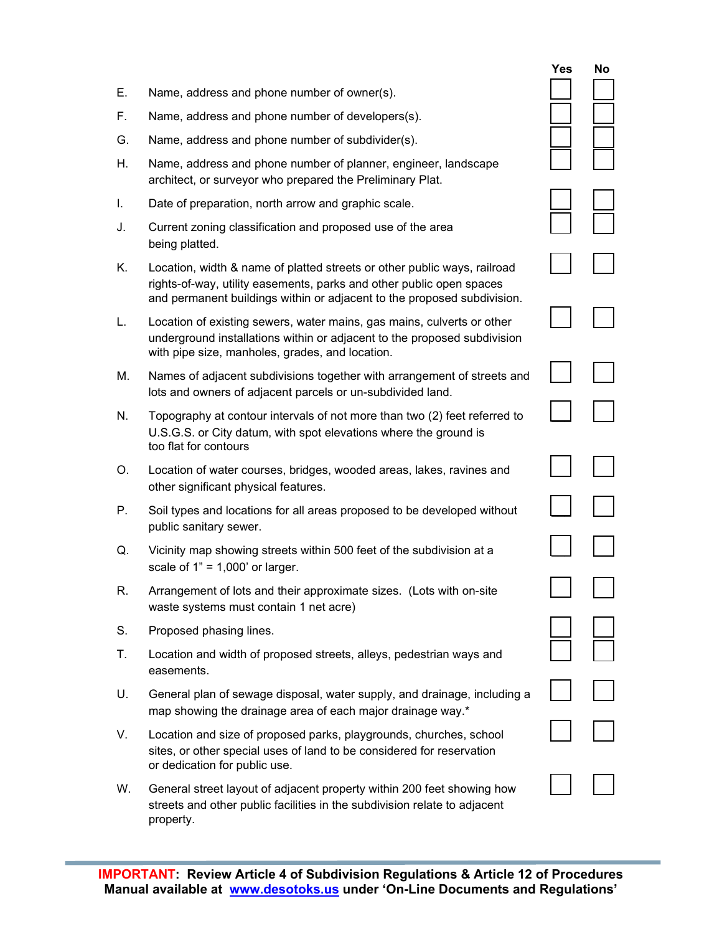|    |                                                                                                                                                                                                                             | Yes | No |
|----|-----------------------------------------------------------------------------------------------------------------------------------------------------------------------------------------------------------------------------|-----|----|
| Е. | Name, address and phone number of owner(s).                                                                                                                                                                                 |     |    |
| F. | Name, address and phone number of developers(s).                                                                                                                                                                            |     |    |
| G. | Name, address and phone number of subdivider(s).                                                                                                                                                                            |     |    |
| Η. | Name, address and phone number of planner, engineer, landscape<br>architect, or surveyor who prepared the Preliminary Plat.                                                                                                 |     |    |
| I. | Date of preparation, north arrow and graphic scale.                                                                                                                                                                         |     |    |
| J. | Current zoning classification and proposed use of the area<br>being platted.                                                                                                                                                |     |    |
| Κ. | Location, width & name of platted streets or other public ways, railroad<br>rights-of-way, utility easements, parks and other public open spaces<br>and permanent buildings within or adjacent to the proposed subdivision. |     |    |
| L. | Location of existing sewers, water mains, gas mains, culverts or other<br>underground installations within or adjacent to the proposed subdivision<br>with pipe size, manholes, grades, and location.                       |     |    |
| М. | Names of adjacent subdivisions together with arrangement of streets and<br>lots and owners of adjacent parcels or un-subdivided land.                                                                                       |     |    |
| N. | Topography at contour intervals of not more than two (2) feet referred to<br>U.S.G.S. or City datum, with spot elevations where the ground is<br>too flat for contours                                                      |     |    |
| O. | Location of water courses, bridges, wooded areas, lakes, ravines and<br>other significant physical features.                                                                                                                |     |    |
| Р. | Soil types and locations for all areas proposed to be developed without<br>public sanitary sewer.                                                                                                                           |     |    |
| Q. | Vicinity map showing streets within 500 feet of the subdivision at a<br>scale of $1" = 1,000'$ or larger.                                                                                                                   |     |    |
| R. | Arrangement of lots and their approximate sizes. (Lots with on-site<br>waste systems must contain 1 net acre)                                                                                                               |     |    |
| S. | Proposed phasing lines.                                                                                                                                                                                                     |     |    |
| Τ. | Location and width of proposed streets, alleys, pedestrian ways and<br>easements.                                                                                                                                           |     |    |
| U. | General plan of sewage disposal, water supply, and drainage, including a<br>map showing the drainage area of each major drainage way.*                                                                                      |     |    |
| V. | Location and size of proposed parks, playgrounds, churches, school<br>sites, or other special uses of land to be considered for reservation<br>or dedication for public use.                                                |     |    |
| W. | General street layout of adjacent property within 200 feet showing how<br>streets and other public facilities in the subdivision relate to adjacent<br>property.                                                            |     |    |